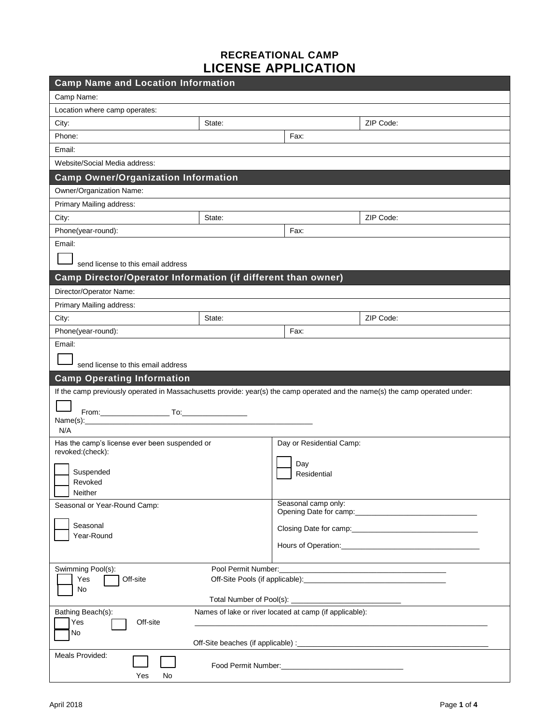## **RECREATIONAL CAMP LICENSE APPLICATION**

| <b>Camp Name and Location Information</b>                    |                                                                                                                                                                                                                                |  |  |  |  |
|--------------------------------------------------------------|--------------------------------------------------------------------------------------------------------------------------------------------------------------------------------------------------------------------------------|--|--|--|--|
| Camp Name:                                                   |                                                                                                                                                                                                                                |  |  |  |  |
| Location where camp operates:                                |                                                                                                                                                                                                                                |  |  |  |  |
| State:<br>City:                                              | ZIP Code:                                                                                                                                                                                                                      |  |  |  |  |
| Phone:                                                       | Fax:                                                                                                                                                                                                                           |  |  |  |  |
| Email:                                                       |                                                                                                                                                                                                                                |  |  |  |  |
| Website/Social Media address:                                |                                                                                                                                                                                                                                |  |  |  |  |
| <b>Camp Owner/Organization Information</b>                   |                                                                                                                                                                                                                                |  |  |  |  |
| Owner/Organization Name:                                     |                                                                                                                                                                                                                                |  |  |  |  |
| Primary Mailing address:                                     |                                                                                                                                                                                                                                |  |  |  |  |
| State:<br>City:                                              | ZIP Code:                                                                                                                                                                                                                      |  |  |  |  |
| Phone(year-round):                                           | Fax:                                                                                                                                                                                                                           |  |  |  |  |
| Email:                                                       |                                                                                                                                                                                                                                |  |  |  |  |
|                                                              |                                                                                                                                                                                                                                |  |  |  |  |
| send license to this email address                           |                                                                                                                                                                                                                                |  |  |  |  |
| Camp Director/Operator Information (if different than owner) |                                                                                                                                                                                                                                |  |  |  |  |
| Director/Operator Name:                                      |                                                                                                                                                                                                                                |  |  |  |  |
| Primary Mailing address:                                     |                                                                                                                                                                                                                                |  |  |  |  |
| State:<br>City:                                              | ZIP Code:                                                                                                                                                                                                                      |  |  |  |  |
| Phone(year-round):                                           | Fax:                                                                                                                                                                                                                           |  |  |  |  |
| Email:                                                       |                                                                                                                                                                                                                                |  |  |  |  |
| send license to this email address                           |                                                                                                                                                                                                                                |  |  |  |  |
|                                                              |                                                                                                                                                                                                                                |  |  |  |  |
|                                                              |                                                                                                                                                                                                                                |  |  |  |  |
| <b>Camp Operating Information</b>                            | If the camp previously operated in Massachusetts provide: year(s) the camp operated and the name(s) the camp operated under:                                                                                                   |  |  |  |  |
|                                                              |                                                                                                                                                                                                                                |  |  |  |  |
|                                                              |                                                                                                                                                                                                                                |  |  |  |  |
| Name(s):<br>N/A                                              |                                                                                                                                                                                                                                |  |  |  |  |
| Has the camp's license ever been suspended or                | Day or Residential Camp:                                                                                                                                                                                                       |  |  |  |  |
| revoked:(check):                                             |                                                                                                                                                                                                                                |  |  |  |  |
|                                                              | Day                                                                                                                                                                                                                            |  |  |  |  |
| Suspended<br>Revoked                                         | Residential                                                                                                                                                                                                                    |  |  |  |  |
| Neither                                                      |                                                                                                                                                                                                                                |  |  |  |  |
| Seasonal or Year-Round Camp:                                 | Seasonal camp only:                                                                                                                                                                                                            |  |  |  |  |
| Seasonal                                                     |                                                                                                                                                                                                                                |  |  |  |  |
| Year-Round                                                   |                                                                                                                                                                                                                                |  |  |  |  |
|                                                              | Hours of Operation: New York Changes and Changes and Changes and Changes and Changes and Changes and Changes and Changes and Changes and Changes and Changes and Changes and Changes and Changes and Changes and Changes and C |  |  |  |  |
|                                                              |                                                                                                                                                                                                                                |  |  |  |  |
| Swimming Pool(s):<br>Off-site<br>Yes                         |                                                                                                                                                                                                                                |  |  |  |  |
| No                                                           |                                                                                                                                                                                                                                |  |  |  |  |
|                                                              |                                                                                                                                                                                                                                |  |  |  |  |
| Bathing Beach(s):                                            | Names of lake or river located at camp (if applicable):                                                                                                                                                                        |  |  |  |  |
| Yes<br>Off-site<br>No                                        |                                                                                                                                                                                                                                |  |  |  |  |
|                                                              |                                                                                                                                                                                                                                |  |  |  |  |
| Meals Provided:                                              |                                                                                                                                                                                                                                |  |  |  |  |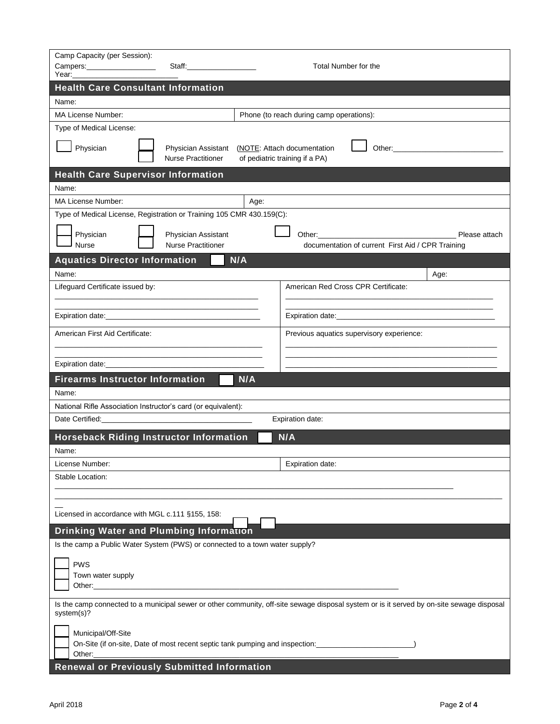| Camp Capacity (per Session):<br>Campers: ___________________<br>Year:                                                                                              |                                                  | Total Number for the |                                                               |                                                   |               |  |
|--------------------------------------------------------------------------------------------------------------------------------------------------------------------|--------------------------------------------------|----------------------|---------------------------------------------------------------|---------------------------------------------------|---------------|--|
| <b>Health Care Consultant Information</b>                                                                                                                          |                                                  |                      |                                                               |                                                   |               |  |
| Name:                                                                                                                                                              |                                                  |                      |                                                               |                                                   |               |  |
| <b>MA License Number:</b>                                                                                                                                          |                                                  |                      | Phone (to reach during camp operations):                      |                                                   |               |  |
| Type of Medical License:                                                                                                                                           |                                                  |                      |                                                               |                                                   |               |  |
| Physician                                                                                                                                                          | Physician Assistant<br><b>Nurse Practitioner</b> |                      | (NOTE: Attach documentation<br>of pediatric training if a PA) |                                                   |               |  |
| <b>Health Care Supervisor Information</b>                                                                                                                          |                                                  |                      |                                                               |                                                   |               |  |
| Name:                                                                                                                                                              |                                                  |                      |                                                               |                                                   |               |  |
| <b>MA License Number:</b>                                                                                                                                          |                                                  | Age:                 |                                                               |                                                   |               |  |
| Type of Medical License, Registration or Training 105 CMR 430.159(C):                                                                                              |                                                  |                      |                                                               |                                                   |               |  |
| Physician<br><b>Nurse</b>                                                                                                                                          | Physician Assistant<br><b>Nurse Practitioner</b> |                      |                                                               | documentation of current First Aid / CPR Training | Please attach |  |
| <b>Aquatics Director Information</b>                                                                                                                               |                                                  | N/A                  |                                                               |                                                   |               |  |
| Name:                                                                                                                                                              |                                                  |                      |                                                               |                                                   | Age:          |  |
| Lifeguard Certificate issued by:                                                                                                                                   |                                                  |                      | American Red Cross CPR Certificate:                           |                                                   |               |  |
|                                                                                                                                                                    |                                                  |                      |                                                               |                                                   |               |  |
|                                                                                                                                                                    |                                                  |                      |                                                               |                                                   |               |  |
| American First Aid Certificate:                                                                                                                                    |                                                  |                      |                                                               | Previous aquatics supervisory experience:         |               |  |
|                                                                                                                                                                    |                                                  |                      |                                                               |                                                   |               |  |
| <b>Firearms Instructor Information</b>                                                                                                                             |                                                  | N/A                  |                                                               |                                                   |               |  |
| Name:                                                                                                                                                              |                                                  |                      |                                                               |                                                   |               |  |
| National Rifle Association Instructor's card (or equivalent):                                                                                                      |                                                  |                      |                                                               |                                                   |               |  |
|                                                                                                                                                                    |                                                  |                      | Expiration date:                                              |                                                   |               |  |
| <b>Horseback Riding Instructor Information</b><br>N/A                                                                                                              |                                                  |                      |                                                               |                                                   |               |  |
| Name:                                                                                                                                                              |                                                  |                      |                                                               |                                                   |               |  |
| License Number:                                                                                                                                                    |                                                  |                      | Expiration date:                                              |                                                   |               |  |
| Stable Location:                                                                                                                                                   |                                                  |                      |                                                               |                                                   |               |  |
|                                                                                                                                                                    |                                                  |                      |                                                               |                                                   |               |  |
|                                                                                                                                                                    |                                                  |                      |                                                               |                                                   |               |  |
| Licensed in accordance with MGL c.111 §155, 158:                                                                                                                   |                                                  |                      |                                                               |                                                   |               |  |
| <b>Drinking Water and Plumbing Information</b>                                                                                                                     |                                                  |                      |                                                               |                                                   |               |  |
| Is the camp a Public Water System (PWS) or connected to a town water supply?                                                                                       |                                                  |                      |                                                               |                                                   |               |  |
| <b>PWS</b><br>Town water supply<br>Other: _________                                                                                                                |                                                  |                      |                                                               |                                                   |               |  |
| Is the camp connected to a municipal sewer or other community, off-site sewage disposal system or is it served by on-site sewage disposal<br>system(s)?            |                                                  |                      |                                                               |                                                   |               |  |
| Municipal/Off-Site<br>On-Site (if on-site, Date of most recent septic tank pumping and inspection:<br>Other:<br><b>Renewal or Previously Submitted Information</b> |                                                  |                      |                                                               |                                                   |               |  |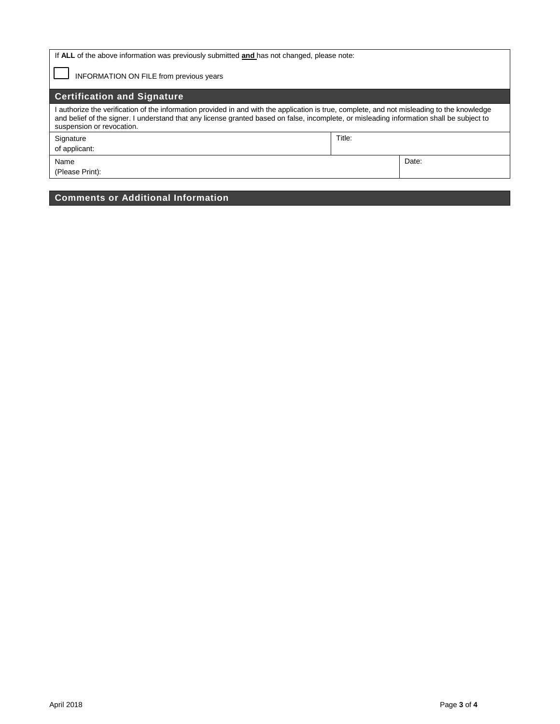| If ALL of the above information was previously submitted and has not changed, please note:                                                                                                                                                                                                                          |        |       |  |  |  |  |
|---------------------------------------------------------------------------------------------------------------------------------------------------------------------------------------------------------------------------------------------------------------------------------------------------------------------|--------|-------|--|--|--|--|
| <b>INFORMATION ON FILE from previous years</b>                                                                                                                                                                                                                                                                      |        |       |  |  |  |  |
| <b>Certification and Signature</b>                                                                                                                                                                                                                                                                                  |        |       |  |  |  |  |
| authorize the verification of the information provided in and with the application is true, complete, and not misleading to the knowledge<br>and belief of the signer. I understand that any license granted based on false, incomplete, or misleading information shall be subject to<br>suspension or revocation. |        |       |  |  |  |  |
| Signature                                                                                                                                                                                                                                                                                                           | Title: |       |  |  |  |  |
| of applicant:                                                                                                                                                                                                                                                                                                       |        |       |  |  |  |  |
| Name                                                                                                                                                                                                                                                                                                                |        | Date: |  |  |  |  |
| (Please Print):                                                                                                                                                                                                                                                                                                     |        |       |  |  |  |  |

## **Comments or Additional Information**